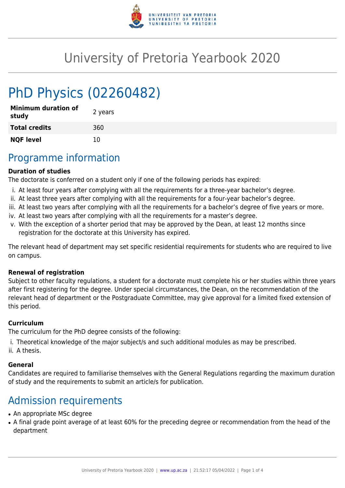

# University of Pretoria Yearbook 2020

# PhD Physics (02260482)

| <b>Minimum duration of</b><br>study | 2 years |
|-------------------------------------|---------|
| <b>Total credits</b>                | 360     |
| <b>NQF level</b>                    | 10      |

### Programme information

#### **Duration of studies**

The doctorate is conferred on a student only if one of the following periods has expired:

- i. At least four years after complying with all the requirements for a three-year bachelor's degree.
- ii. At least three years after complying with all the requirements for a four-year bachelor's degree.
- iii. At least two years after complying with all the requirements for a bachelor's degree of five years or more.
- iv. At least two years after complying with all the requirements for a master's degree.
- v. With the exception of a shorter period that may be approved by the Dean, at least 12 months since registration for the doctorate at this University has expired.

The relevant head of department may set specific residential requirements for students who are required to live on campus.

#### **Renewal of registration**

Subject to other faculty regulations, a student for a doctorate must complete his or her studies within three years after first registering for the degree. Under special circumstances, the Dean, on the recommendation of the relevant head of department or the Postgraduate Committee, may give approval for a limited fixed extension of this period.

#### **Curriculum**

The curriculum for the PhD degree consists of the following:

- i. Theoretical knowledge of the major subject/s and such additional modules as may be prescribed.
- ii. A thesis.

#### **General**

Candidates are required to familiarise themselves with the General Regulations regarding the maximum duration of study and the requirements to submit an article/s for publication.

# Admission requirements

- An appropriate MSc degree
- A final grade point average of at least 60% for the preceding degree or recommendation from the head of the department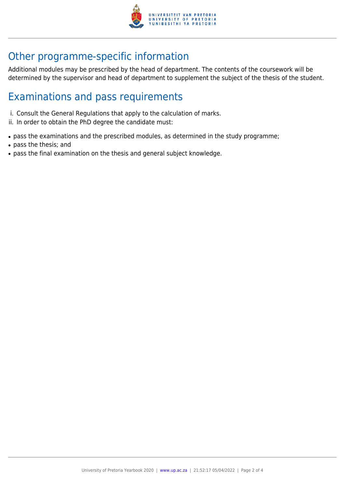

# Other programme-specific information

Additional modules may be prescribed by the head of department. The contents of the coursework will be determined by the supervisor and head of department to supplement the subject of the thesis of the student.

## Examinations and pass requirements

- i. Consult the General Regulations that apply to the calculation of marks.
- ii. In order to obtain the PhD degree the candidate must:
- pass the examinations and the prescribed modules, as determined in the study programme;
- pass the thesis; and
- pass the final examination on the thesis and general subject knowledge.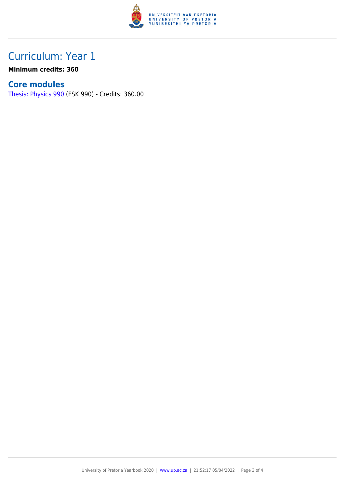

## Curriculum: Year 1

**Minimum credits: 360**

#### **Core modules**

[Thesis: Physics 990](https://www.up.ac.za/faculty-of-education/yearbooks/2020/modules/view/FSK 990) (FSK 990) - Credits: 360.00